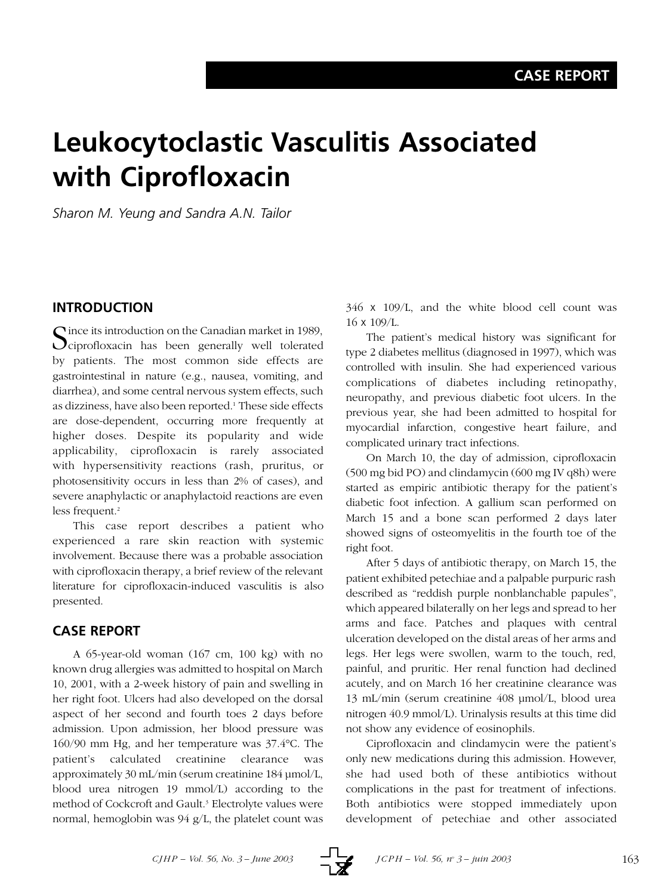# **Leukocytoclastic Vasculitis Associated with Ciprofloxacin**

*Sharon M. Yeung and Sandra A.N. Tailor*

## **INTRODUCTION**

Cince its introduction on the Canadian market in 1989,  $\bigcup$ ciprofloxacin has been generally well tolerated by patients. The most common side effects are gastrointestinal in nature (e.g., nausea, vomiting, and diarrhea), and some central nervous system effects, such as dizziness, have also been reported.1 These side effects are dose-dependent, occurring more frequently at higher doses. Despite its popularity and wide applicability, ciprofloxacin is rarely associated with hypersensitivity reactions (rash, pruritus, or photosensitivity occurs in less than 2% of cases), and severe anaphylactic or anaphylactoid reactions are even less frequent.<sup>2</sup>

This case report describes a patient who experienced a rare skin reaction with systemic involvement. Because there was a probable association with ciprofloxacin therapy, a brief review of the relevant literature for ciprofloxacin-induced vasculitis is also presented.

## **CASE REPORT**

A 65-year-old woman (167 cm, 100 kg) with no known drug allergies was admitted to hospital on March 10, 2001, with a 2-week history of pain and swelling in her right foot. Ulcers had also developed on the dorsal aspect of her second and fourth toes 2 days before admission. Upon admission, her blood pressure was 160/90 mm Hg, and her temperature was 37.4°C. The patient's calculated creatinine clearance was approximately 30 mL/min (serum creatinine 184 µmol/L, blood urea nitrogen 19 mmol/L) according to the method of Cockcroft and Gault.3 Electrolyte values were normal, hemoglobin was 94 g/L, the platelet count was

346 x 109/L, and the white blood cell count was 16 x 109/L.

The patient's medical history was significant for type 2 diabetes mellitus (diagnosed in 1997), which was controlled with insulin. She had experienced various complications of diabetes including retinopathy, neuropathy, and previous diabetic foot ulcers. In the previous year, she had been admitted to hospital for myocardial infarction, congestive heart failure, and complicated urinary tract infections.

On March 10, the day of admission, ciprofloxacin (500 mg bid PO) and clindamycin (600 mg IV q8h) were started as empiric antibiotic therapy for the patient's diabetic foot infection. A gallium scan performed on March 15 and a bone scan performed 2 days later showed signs of osteomyelitis in the fourth toe of the right foot.

After 5 days of antibiotic therapy, on March 15, the patient exhibited petechiae and a palpable purpuric rash described as "reddish purple nonblanchable papules", which appeared bilaterally on her legs and spread to her arms and face. Patches and plaques with central ulceration developed on the distal areas of her arms and legs. Her legs were swollen, warm to the touch, red, painful, and pruritic. Her renal function had declined acutely, and on March 16 her creatinine clearance was 13 mL/min (serum creatinine 408 µmol/L, blood urea nitrogen 40.9 mmol/L). Urinalysis results at this time did not show any evidence of eosinophils.

Ciprofloxacin and clindamycin were the patient's only new medications during this admission. However, she had used both of these antibiotics without complications in the past for treatment of infections. Both antibiotics were stopped immediately upon development of petechiae and other associated

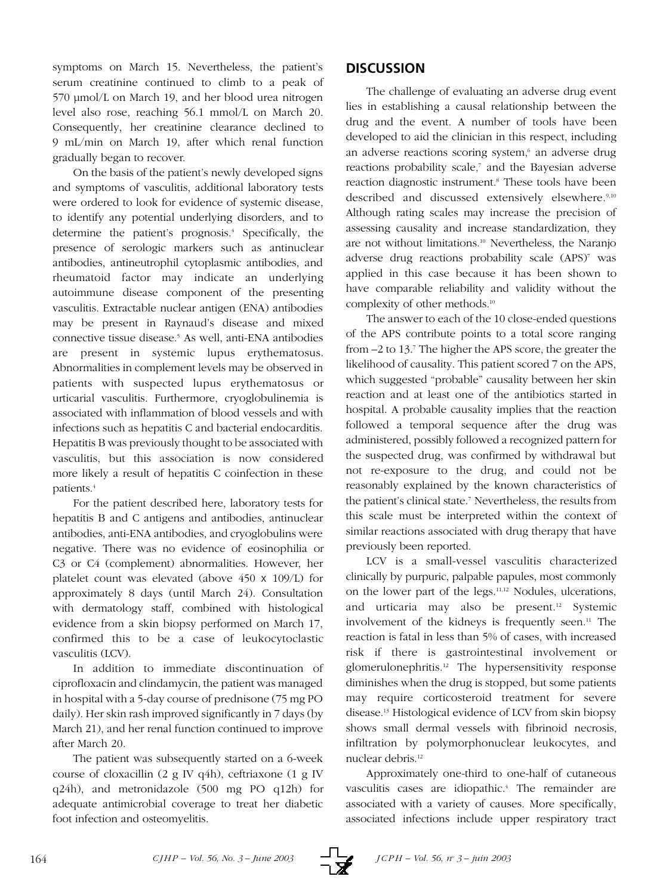symptoms on March 15. Nevertheless, the patient's serum creatinine continued to climb to a peak of 570 µmol/L on March 19, and her blood urea nitrogen level also rose, reaching 56.1 mmol/L on March 20. Consequently, her creatinine clearance declined to 9 mL/min on March 19, after which renal function gradually began to recover.

On the basis of the patient's newly developed signs and symptoms of vasculitis, additional laboratory tests were ordered to look for evidence of systemic disease, to identify any potential underlying disorders, and to determine the patient's prognosis.4 Specifically, the presence of serologic markers such as antinuclear antibodies, antineutrophil cytoplasmic antibodies, and rheumatoid factor may indicate an underlying autoimmune disease component of the presenting vasculitis. Extractable nuclear antigen (ENA) antibodies may be present in Raynaud's disease and mixed connective tissue disease.<sup>5</sup> As well, anti-ENA antibodies are present in systemic lupus erythematosus. Abnormalities in complement levels may be observed in patients with suspected lupus erythematosus or urticarial vasculitis. Furthermore, cryoglobulinemia is associated with inflammation of blood vessels and with infections such as hepatitis C and bacterial endocarditis. Hepatitis B was previously thought to be associated with vasculitis, but this association is now considered more likely a result of hepatitis C coinfection in these patients.4

For the patient described here, laboratory tests for hepatitis B and C antigens and antibodies, antinuclear antibodies, anti-ENA antibodies, and cryoglobulins were negative. There was no evidence of eosinophilia or C3 or C4 (complement) abnormalities. However, her platelet count was elevated (above 450 x 109/L) for approximately 8 days (until March 24). Consultation with dermatology staff, combined with histological evidence from a skin biopsy performed on March 17, confirmed this to be a case of leukocytoclastic vasculitis (LCV).

In addition to immediate discontinuation of ciprofloxacin and clindamycin, the patient was managed in hospital with a 5-day course of prednisone (75 mg PO daily). Her skin rash improved significantly in 7 days (by March 21), and her renal function continued to improve after March 20.

The patient was subsequently started on a 6-week course of cloxacillin (2 g IV q4h), ceftriaxone (1 g IV q24h), and metronidazole (500 mg PO q12h) for adequate antimicrobial coverage to treat her diabetic foot infection and osteomyelitis.

# **DISCUSSION**

The challenge of evaluating an adverse drug event lies in establishing a causal relationship between the drug and the event. A number of tools have been developed to aid the clinician in this respect, including an adverse reactions scoring system,<sup>6</sup> an adverse drug reactions probability scale,<sup>7</sup> and the Bayesian adverse reaction diagnostic instrument.<sup>8</sup> These tools have been described and discussed extensively elsewhere.<sup>9,10</sup> Although rating scales may increase the precision of assessing causality and increase standardization, they are not without limitations.10 Nevertheless, the Naranjo adverse drug reactions probability scale (APS)<sup>7</sup> was applied in this case because it has been shown to have comparable reliability and validity without the complexity of other methods.10

The answer to each of the 10 close-ended questions of the APS contribute points to a total score ranging from –2 to 13.7 The higher the APS score, the greater the likelihood of causality. This patient scored 7 on the APS, which suggested "probable" causality between her skin reaction and at least one of the antibiotics started in hospital. A probable causality implies that the reaction followed a temporal sequence after the drug was administered, possibly followed a recognized pattern for the suspected drug, was confirmed by withdrawal but not re-exposure to the drug, and could not be reasonably explained by the known characteristics of the patient's clinical state.<sup>7</sup> Nevertheless, the results from this scale must be interpreted within the context of similar reactions associated with drug therapy that have previously been reported.

LCV is a small-vessel vasculitis characterized clinically by purpuric, palpable papules, most commonly on the lower part of the legs.11,12 Nodules, ulcerations, and urticaria may also be present.12 Systemic involvement of the kidneys is frequently seen.<sup>11</sup> The reaction is fatal in less than 5% of cases, with increased risk if there is gastrointestinal involvement or glomerulonephritis.12 The hypersensitivity response diminishes when the drug is stopped, but some patients may require corticosteroid treatment for severe disease.13 Histological evidence of LCV from skin biopsy shows small dermal vessels with fibrinoid necrosis, infiltration by polymorphonuclear leukocytes, and nuclear debris.12

Approximately one-third to one-half of cutaneous vasculitis cases are idiopathic.<sup>4</sup> The remainder are associated with a variety of causes. More specifically, associated infections include upper respiratory tract

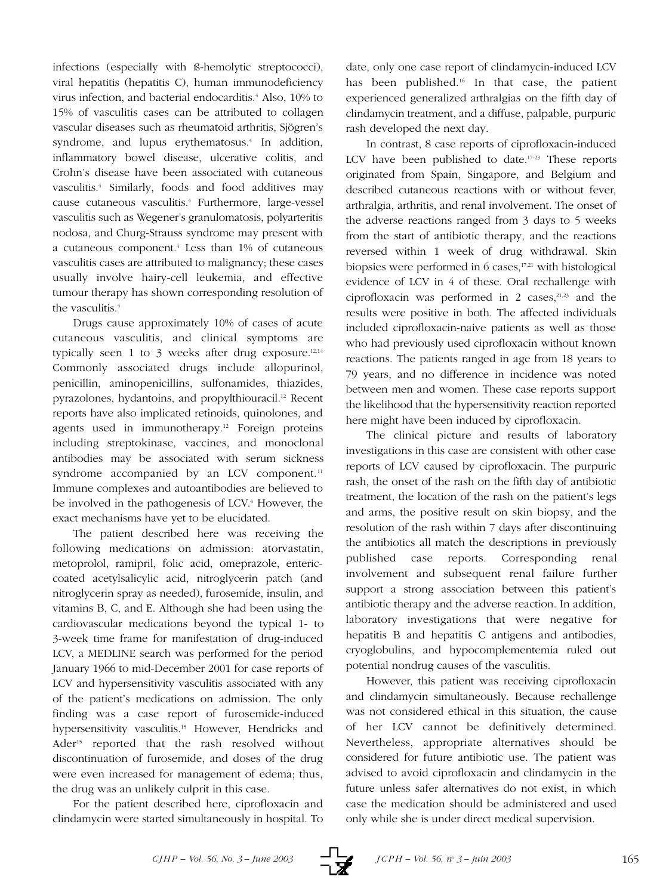infections (especially with ß-hemolytic streptococci), viral hepatitis (hepatitis C), human immunodeficiency virus infection, and bacterial endocarditis.<sup>4</sup> Also, 10% to 15% of vasculitis cases can be attributed to collagen vascular diseases such as rheumatoid arthritis, Sjögren's syndrome, and lupus erythematosus.<sup>4</sup> In addition, inflammatory bowel disease, ulcerative colitis, and Crohn's disease have been associated with cutaneous vasculitis.4 Similarly, foods and food additives may cause cutaneous vasculitis.4 Furthermore, large-vessel vasculitis such as Wegener's granulomatosis, polyarteritis nodosa, and Churg-Strauss syndrome may present with a cutaneous component.4 Less than 1% of cutaneous vasculitis cases are attributed to malignancy; these cases usually involve hairy-cell leukemia, and effective tumour therapy has shown corresponding resolution of the vasculitis.4

Drugs cause approximately 10% of cases of acute cutaneous vasculitis, and clinical symptoms are typically seen 1 to 3 weeks after drug exposure.<sup>12,14</sup> Commonly associated drugs include allopurinol, penicillin, aminopenicillins, sulfonamides, thiazides, pyrazolones, hydantoins, and propylthiouracil.12 Recent reports have also implicated retinoids, quinolones, and agents used in immunotherapy.12 Foreign proteins including streptokinase, vaccines, and monoclonal antibodies may be associated with serum sickness syndrome accompanied by an LCV component.<sup>11</sup> Immune complexes and autoantibodies are believed to be involved in the pathogenesis of LCV.<sup>4</sup> However, the exact mechanisms have yet to be elucidated.

The patient described here was receiving the following medications on admission: atorvastatin, metoprolol, ramipril, folic acid, omeprazole, entericcoated acetylsalicylic acid, nitroglycerin patch (and nitroglycerin spray as needed), furosemide, insulin, and vitamins B, C, and E. Although she had been using the cardiovascular medications beyond the typical 1- to 3-week time frame for manifestation of drug-induced LCV, a MEDLINE search was performed for the period January 1966 to mid-December 2001 for case reports of LCV and hypersensitivity vasculitis associated with any of the patient's medications on admission. The only finding was a case report of furosemide-induced hypersensitivity vasculitis.<sup>15</sup> However, Hendricks and Ader<sup>15</sup> reported that the rash resolved without discontinuation of furosemide, and doses of the drug were even increased for management of edema; thus, the drug was an unlikely culprit in this case.

For the patient described here, ciprofloxacin and clindamycin were started simultaneously in hospital. To

date, only one case report of clindamycin-induced LCV has been published.<sup>16</sup> In that case, the patient experienced generalized arthralgias on the fifth day of clindamycin treatment, and a diffuse, palpable, purpuric rash developed the next day.

In contrast, 8 case reports of ciprofloxacin-induced LCV have been published to date.<sup>17-23</sup> These reports originated from Spain, Singapore, and Belgium and described cutaneous reactions with or without fever, arthralgia, arthritis, and renal involvement. The onset of the adverse reactions ranged from 3 days to 5 weeks from the start of antibiotic therapy, and the reactions reversed within 1 week of drug withdrawal. Skin biopsies were performed in  $6$  cases,<sup>17,21</sup> with histological evidence of LCV in 4 of these. Oral rechallenge with ciprofloxacin was performed in 2 cases, $2^{1,23}$  and the results were positive in both. The affected individuals included ciprofloxacin-naive patients as well as those who had previously used ciprofloxacin without known reactions. The patients ranged in age from 18 years to 79 years, and no difference in incidence was noted between men and women. These case reports support the likelihood that the hypersensitivity reaction reported here might have been induced by ciprofloxacin.

The clinical picture and results of laboratory investigations in this case are consistent with other case reports of LCV caused by ciprofloxacin. The purpuric rash, the onset of the rash on the fifth day of antibiotic treatment, the location of the rash on the patient's legs and arms, the positive result on skin biopsy, and the resolution of the rash within 7 days after discontinuing the antibiotics all match the descriptions in previously published case reports. Corresponding renal involvement and subsequent renal failure further support a strong association between this patient's antibiotic therapy and the adverse reaction. In addition, laboratory investigations that were negative for hepatitis B and hepatitis C antigens and antibodies, cryoglobulins, and hypocomplementemia ruled out potential nondrug causes of the vasculitis.

However, this patient was receiving ciprofloxacin and clindamycin simultaneously. Because rechallenge was not considered ethical in this situation, the cause of her LCV cannot be definitively determined. Nevertheless, appropriate alternatives should be considered for future antibiotic use. The patient was advised to avoid ciprofloxacin and clindamycin in the future unless safer alternatives do not exist, in which case the medication should be administered and used only while she is under direct medical supervision.